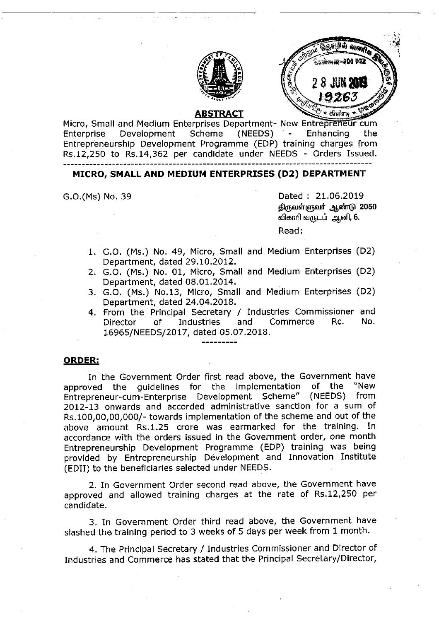



#### **ABSTRACT**

Micro, Small and Medium Enterprises Department- New Entrepreneur cum Enterprise Development Scheme (NEEDS) - Enhancing the Entrepreneurship Development Programme (EDP) training charges from Rs.12,250 to Rs.14,362 per candidate under NEEDS - Orders Issued. 

## MICRO, SMALL AND MEDIUM ENTERPRISES (D2) DEPARTMENT

G.O.(Ms) No. 39 Dated : 21.06.2019 திருவள்ளுவர். ஆண்டு 2050 விகாரி வருடம் ஆனி, 6.

Read:

- 1. G.O. (Ms.) No. 49, Micro, Small and Medium Enterprises (D2) Department, dated 29.10.2012.
- 2. G.O. (Ms.) No. 01, Micro, Small and Medium Enterprises (D2) Department, dated 08.01.2014.
- 3. G.O. (Ms.) No.13, Micro, Small and Medium Enterprises (D2) Department, dated 24.04.2018.
- 4. From the Principal Secretary / Industries Commissioner and<br>Director of Industries and Commerce Rc. No. Director of Industries and Commerce Rc. No. 16965/NEEDS/2017, dated 05.07.2018,

### ORDER:

In the Government Order first read above, the Government have<br>ved the quidelines for the implementation of the "New approved the guidelines for the implementation of the Entrepreneur-cum-Enterprise Development Scheme" (NEEDS) from 2012-13 onwards and accorded administrative sanction for a sum of Rs.100,00,00,000/-towards implementation of the scheme and out of the above amount Rs,1.25 crore was earmarked for the training. In accordance with the orders issued in the Government order, one month Entrepreneurship Development Programme (EDP) training was being provided by Entrepreneurship Development and Innovation Institute (EDII) to the beneficiaries selected under NEEDS,

2. In Government Order second read above, the Government have approved and allowed training charges at the rate of Rs.12,250 per candidate.

3. In Government Order third read above, the Government have slashed the training period to 3 weeks of 5 days per week from 1 month.

4. The Principal Secretary / Industries Commissioner and Director of Industries and Commerce has stated that the Principal Secretary/Director,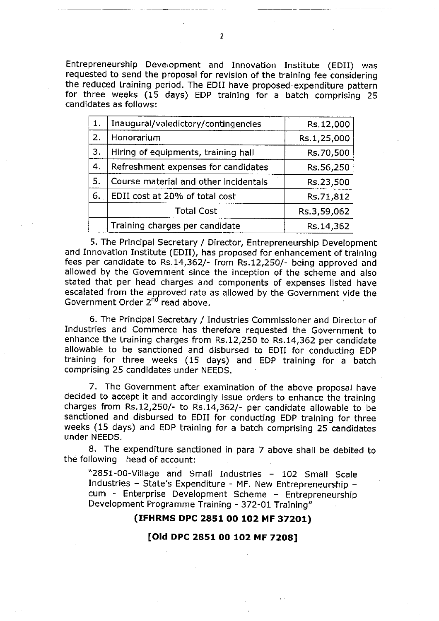Entrepreneurship Development and Innovation Institute (EDII) was requested to send the proposal for revision of the training fee considering the reduced training period. The EDII have proposed expenditure pattern for three weeks (15 days) EDP training for a batch comprising 25 candidates as follows:

| 1. | Inaugural/valedictory/contingencies   | Rs.12,000   |
|----|---------------------------------------|-------------|
| 2. | Honorarium                            | Rs.1,25,000 |
| 3. | Hiring of equipments, training hall   | Rs.70,500   |
| 4. | Refreshment expenses for candidates   | Rs.56,250   |
| 5. | Course material and other incidentals | Rs.23,500   |
| 6. | EDII cost at 20% of total cost        | Rs.71,812   |
|    | <b>Total Cost</b>                     | Rs.3,59,062 |
|    | Training charges per candidate        | Rs.14,362   |

5. The Principal Secretary / Director, Entrepreneurship Development and Innovation Institute (EDII), has proposed for enhancement of training fees per candidate to Rs.14,362/- from Rs.12,250/- being approved and allowed by the Government since the inception of the scheme and also stated that per head charges and components of expenses listed have escalated from the approved rate as allowed by the Government vide the Government Order  $2^{nd}$  read above.

6. The Principal Secretary / Industries Commissioner and Director of Industries and Commerce has therefore requested the Government to enhance the training charges from Rs.12,250 to Rs.14,362 per candidate allowable to be sanctioned and disbursed to EDII for conducting EDP training for three weeks (15 days) and EDP training for a batch comprising 25 candidates under NEEDS.

7. The Government after examination of the above proposal have decided to accept it and accordingly issue orders to enhance the training charges from  $Rs.12,250/$ - to  $Rs.14,362/$ - per candidate allowable to be sanctioned and disbursed to EDII for conducting EDP training for three weeks (15 days) and EDP training for a batch comprising 25 candidates under NEEDS.

8. The expenditure sanctioned in para 7 above shall be debited to the following head of account:

"2851-00-Village and Small Industries - 102 Small Scale Industries - State's Expenditure - MF. New Entrepreneurship cum - Enterprise Development Scheme - Entrepreneurship Development Programme Training - 372-01 Training"

# (IFHRMS DPC 2851 00 102 MF 37201)

### [Old DPC 2851 00 102 MF 7208]